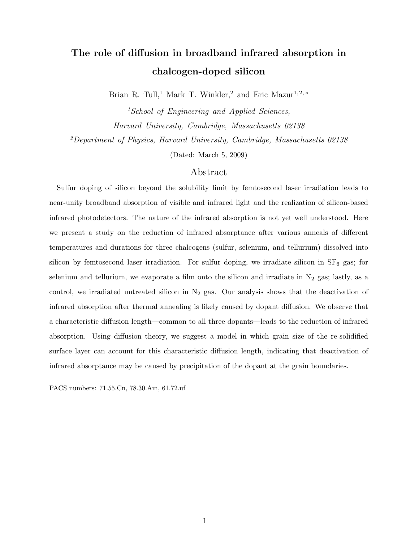# The role of diffusion in broadband infrared absorption in chalcogen-doped silicon

Brian R. Tull,<sup>1</sup> Mark T. Winkler,<sup>2</sup> and Eric Mazur<sup>1,2,\*</sup>

<sup>1</sup> School of Engineering and Applied Sciences, Harvard University, Cambridge, Massachusetts 02138 <sup>2</sup>Department of Physics, Harvard University, Cambridge, Massachusetts 02138

(Dated: March 5, 2009)

# Abstract

Sulfur doping of silicon beyond the solubility limit by femtosecond laser irradiation leads to near-unity broadband absorption of visible and infrared light and the realization of silicon-based infrared photodetectors. The nature of the infrared absorption is not yet well understood. Here we present a study on the reduction of infrared absorptance after various anneals of different temperatures and durations for three chalcogens (sulfur, selenium, and tellurium) dissolved into silicon by femtosecond laser irradiation. For sulfur doping, we irradiate silicon in  $SF_6$  gas; for selenium and tellurium, we evaporate a film onto the silicon and irradiate in  $N_2$  gas; lastly, as a control, we irradiated untreated silicon in  $N_2$  gas. Our analysis shows that the deactivation of infrared absorption after thermal annealing is likely caused by dopant diffusion. We observe that a characteristic diffusion length—common to all three dopants—leads to the reduction of infrared absorption. Using diffusion theory, we suggest a model in which grain size of the re-solidified surface layer can account for this characteristic diffusion length, indicating that deactivation of infrared absorptance may be caused by precipitation of the dopant at the grain boundaries.

PACS numbers: 71.55.Cn, 78.30.Am, 61.72.uf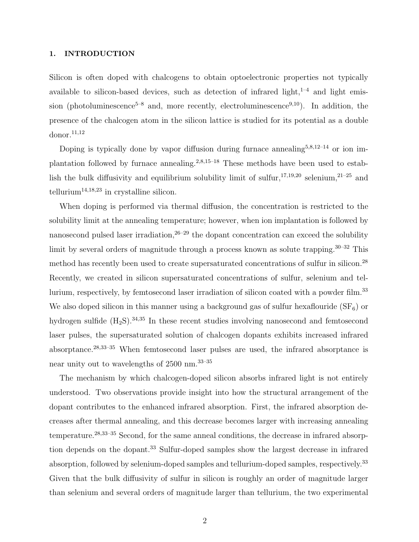#### 1. INTRODUCTION

Silicon is often doped with chalcogens to obtain optoelectronic properties not typically available to silicon-based devices, such as detection of infrared light, $1-4$  and light emission (photoluminescence<sup>5–8</sup> and, more recently, electroluminescence<sup>9,10</sup>). In addition, the presence of the chalcogen atom in the silicon lattice is studied for its potential as a double donor.11,12

Doping is typically done by vapor diffusion during furnace annealing<sup>5,8,12–14</sup> or ion implantation followed by furnace annealing.2,8,15–18 These methods have been used to establish the bulk diffusivity and equilibrium solubility limit of sulfur,  $17,19,20$  selenium,  $21-25$  and tellurium<sup>14,18,23</sup> in crystalline silicon.

When doping is performed via thermal diffusion, the concentration is restricted to the solubility limit at the annealing temperature; however, when ion implantation is followed by nanosecond pulsed laser irradiation,  $26-29$  the dopant concentration can exceed the solubility limit by several orders of magnitude through a process known as solute trapping.<sup>30–32</sup> This method has recently been used to create supersaturated concentrations of sulfur in silicon.<sup>28</sup> Recently, we created in silicon supersaturated concentrations of sulfur, selenium and tellurium, respectively, by femtosecond laser irradiation of silicon coated with a powder film.<sup>33</sup> We also doped silicon in this manner using a background gas of sulfur hexaflouride ( $SF_6$ ) or hydrogen sulfide  $(H_2S)$ .<sup>34,35</sup> In these recent studies involving nanosecond and femtosecond laser pulses, the supersaturated solution of chalcogen dopants exhibits increased infrared absorptance.28,33–35 When femtosecond laser pulses are used, the infrared absorptance is near unity out to wavelengths of 2500 nm.33–35

The mechanism by which chalcogen-doped silicon absorbs infrared light is not entirely understood. Two observations provide insight into how the structural arrangement of the dopant contributes to the enhanced infrared absorption. First, the infrared absorption decreases after thermal annealing, and this decrease becomes larger with increasing annealing temperature.<sup>28,33–35</sup> Second, for the same anneal conditions, the decrease in infrared absorption depends on the dopant.<sup>33</sup> Sulfur-doped samples show the largest decrease in infrared absorption, followed by selenium-doped samples and tellurium-doped samples, respectively.<sup>33</sup> Given that the bulk diffusivity of sulfur in silicon is roughly an order of magnitude larger than selenium and several orders of magnitude larger than tellurium, the two experimental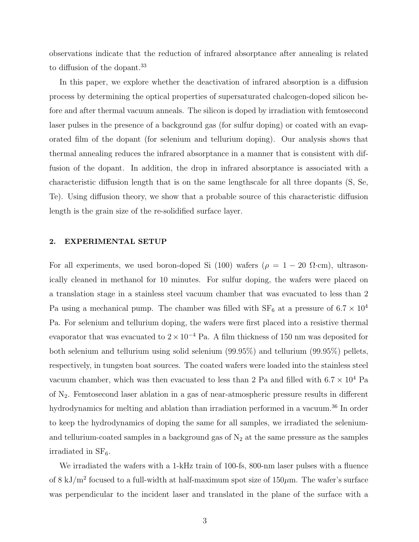observations indicate that the reduction of infrared absorptance after annealing is related to diffusion of the dopant.<sup>33</sup>

In this paper, we explore whether the deactivation of infrared absorption is a diffusion process by determining the optical properties of supersaturated chalcogen-doped silicon before and after thermal vacuum anneals. The silicon is doped by irradiation with femtosecond laser pulses in the presence of a background gas (for sulfur doping) or coated with an evaporated film of the dopant (for selenium and tellurium doping). Our analysis shows that thermal annealing reduces the infrared absorptance in a manner that is consistent with diffusion of the dopant. In addition, the drop in infrared absorptance is associated with a characteristic diffusion length that is on the same lengthscale for all three dopants (S, Se, Te). Using diffusion theory, we show that a probable source of this characteristic diffusion length is the grain size of the re-solidified surface layer.

# 2. EXPERIMENTAL SETUP

For all experiments, we used boron-doped Si (100) wafers ( $\rho = 1 - 20 \Omega$ ·cm), ultrasonically cleaned in methanol for 10 minutes. For sulfur doping, the wafers were placed on a translation stage in a stainless steel vacuum chamber that was evacuated to less than 2 Pa using a mechanical pump. The chamber was filled with  $SF_6$  at a pressure of  $6.7 \times 10^4$ Pa. For selenium and tellurium doping, the wafers were first placed into a resistive thermal evaporator that was evacuated to  $2 \times 10^{-4}$  Pa. A film thickness of 150 nm was deposited for both selenium and tellurium using solid selenium (99.95%) and tellurium (99.95%) pellets, respectively, in tungsten boat sources. The coated wafers were loaded into the stainless steel vacuum chamber, which was then evacuated to less than 2 Pa and filled with  $6.7 \times 10^4$  Pa of N2. Femtosecond laser ablation in a gas of near-atmospheric pressure results in different hydrodynamics for melting and ablation than irradiation performed in a vacuum.<sup>36</sup> In order to keep the hydrodynamics of doping the same for all samples, we irradiated the seleniumand tellurium-coated samples in a background gas of  $N_2$  at the same pressure as the samples irradiated in  $SF_6$ .

We irradiated the wafers with a 1-kHz train of 100-fs, 800-nm laser pulses with a fluence of 8 kJ/m<sup>2</sup> focused to a full-width at half-maximum spot size of  $150 \mu$ m. The wafer's surface was perpendicular to the incident laser and translated in the plane of the surface with a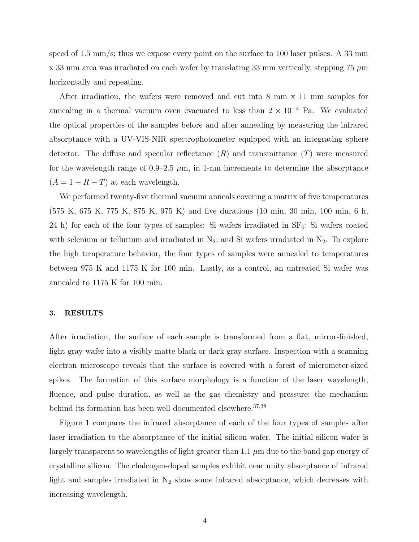speed of 1.5 mm/s; thus we expose every point on the surface to 100 laser pulses. A 33 mm x 33 mm area was irradiated on each wafer by translating 33 mm vertically, stepping 75  $\mu$ m horizontally and repeating.

After irradiation, the wafers were removed and cut into 8 mm x 11 mm samples for annealing in a thermal vacuum oven evacuated to less than  $2 \times 10^{-4}$  Pa. We evaluated the optical properties of the samples before and after annealing by measuring the infrared absorptance with a UV-VIS-NIR spectrophotometer equipped with an integrating sphere detector. The diffuse and specular reflectance  $(R)$  and transmittance  $(T)$  were measured for the wavelength range of  $0.9-2.5 \mu m$ , in 1-nm increments to determine the absorptance  $(A = 1 - R - T)$  at each wavelength.

We performed twenty-five thermal vacuum anneals covering a matrix of five temperatures (575 K, 675 K, 775 K, 875 K, 975 K) and five durations (10 min, 30 min, 100 min, 6 h, 24 h) for each of the four types of samples: Si wafers irradiated in  $SF_6$ ; Si wafers coated with selenium or tellurium and irradiated in  $N_2$ ; and Si wafers irradiated in  $N_2$ . To explore the high temperature behavior, the four types of samples were annealed to temperatures between 975 K and 1175 K for 100 min. Lastly, as a control, an untreated Si wafer was annealed to 1175 K for 100 min.

### 3. RESULTS

After irradiation, the surface of each sample is transformed from a flat, mirror-finished, light gray wafer into a visibly matte black or dark gray surface. Inspection with a scanning electron microscope reveals that the surface is covered with a forest of micrometer-sized spikes. The formation of this surface morphology is a function of the laser wavelength, fluence, and pulse duration, as well as the gas chemistry and pressure; the mechanism behind its formation has been well documented elsewhere.<sup>37,38</sup>

Figure 1 compares the infrared absorptance of each of the four types of samples after laser irradiation to the absorptance of the initial silicon wafer. The initial silicon wafer is largely transparent to wavelengths of light greater than 1.1  $\mu$ m due to the band gap energy of crystalline silicon. The chalcogen-doped samples exhibit near unity absorptance of infrared light and samples irradiated in  $N_2$  show some infrared absorptance, which decreases with increasing wavelength.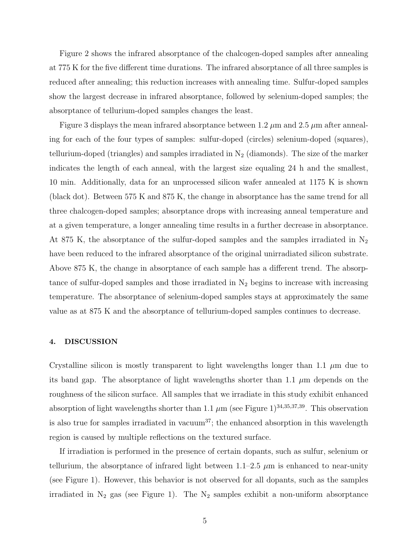Figure 2 shows the infrared absorptance of the chalcogen-doped samples after annealing at 775 K for the five different time durations. The infrared absorptance of all three samples is reduced after annealing; this reduction increases with annealing time. Sulfur-doped samples show the largest decrease in infrared absorptance, followed by selenium-doped samples; the absorptance of tellurium-doped samples changes the least.

Figure 3 displays the mean infrared absorptance between 1.2  $\mu$ m and 2.5  $\mu$ m after annealing for each of the four types of samples: sulfur-doped (circles) selenium-doped (squares), tellurium-doped (triangles) and samples irradiated in  $N_2$  (diamonds). The size of the marker indicates the length of each anneal, with the largest size equaling 24 h and the smallest, 10 min. Additionally, data for an unprocessed silicon wafer annealed at 1175 K is shown (black dot). Between 575 K and 875 K, the change in absorptance has the same trend for all three chalcogen-doped samples; absorptance drops with increasing anneal temperature and at a given temperature, a longer annealing time results in a further decrease in absorptance. At 875 K, the absorptance of the sulfur-doped samples and the samples irradiated in  $N_2$ have been reduced to the infrared absorptance of the original unirradiated silicon substrate. Above 875 K, the change in absorptance of each sample has a different trend. The absorptance of sulfur-doped samples and those irradiated in  $N_2$  begins to increase with increasing temperature. The absorptance of selenium-doped samples stays at approximately the same value as at 875 K and the absorptance of tellurium-doped samples continues to decrease.

#### 4. DISCUSSION

Crystalline silicon is mostly transparent to light wavelengths longer than 1.1  $\mu$ m due to its band gap. The absorptance of light wavelengths shorter than 1.1  $\mu$ m depends on the roughness of the silicon surface. All samples that we irradiate in this study exhibit enhanced absorption of light wavelengths shorter than 1.1  $\mu$ m (see Figure 1)<sup>34,35,37,39</sup>. This observation is also true for samples irradiated in vacuum<sup>37</sup>; the enhanced absorption in this wavelength region is caused by multiple reflections on the textured surface.

If irradiation is performed in the presence of certain dopants, such as sulfur, selenium or tellurium, the absorptance of infrared light between  $1.1-2.5 \mu m$  is enhanced to near-unity (see Figure 1). However, this behavior is not observed for all dopants, such as the samples irradiated in  $N_2$  gas (see Figure 1). The  $N_2$  samples exhibit a non-uniform absorptance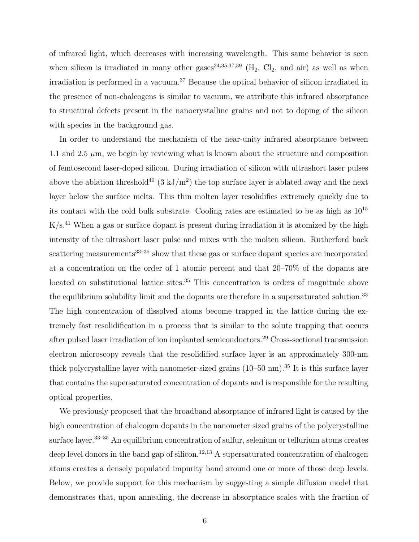of infrared light, which decreases with increasing wavelength. This same behavior is seen when silicon is irradiated in many other gases<sup>34,35,37,39</sup> ( $H_2$ , Cl<sub>2</sub>, and air) as well as when irradiation is performed in a vacuum.<sup>37</sup> Because the optical behavior of silicon irradiated in the presence of non-chalcogens is similar to vacuum, we attribute this infrared absorptance to structural defects present in the nanocrystalline grains and not to doping of the silicon with species in the background gas.

In order to understand the mechanism of the near-unity infrared absorptance between 1.1 and 2.5  $\mu$ m, we begin by reviewing what is known about the structure and composition of femtosecond laser-doped silicon. During irradiation of silicon with ultrashort laser pulses above the ablation threshold<sup>40</sup> (3 kJ/m<sup>2</sup>) the top surface layer is ablated away and the next layer below the surface melts. This thin molten layer resolidifies extremely quickly due to its contact with the cold bulk substrate. Cooling rates are estimated to be as high as  $10^{15}$ K/s.<sup>41</sup> When a gas or surface dopant is present during irradiation it is atomized by the high intensity of the ultrashort laser pulse and mixes with the molten silicon. Rutherford back scattering measurements<sup>33–35</sup> show that these gas or surface dopant species are incorporated at a concentration on the order of 1 atomic percent and that 20–70% of the dopants are located on substitutional lattice sites.<sup>35</sup> This concentration is orders of magnitude above the equilibrium solubility limit and the dopants are therefore in a supersaturated solution.<sup>33</sup> The high concentration of dissolved atoms become trapped in the lattice during the extremely fast resolidification in a process that is similar to the solute trapping that occurs after pulsed laser irradiation of ion implanted semiconductors.<sup>29</sup> Cross-sectional transmission electron microscopy reveals that the resolidified surface layer is an approximately 300-nm thick polycrystalline layer with nanometer-sized grains  $(10-50 \text{ nm})$ .<sup>35</sup> It is this surface layer that contains the supersaturated concentration of dopants and is responsible for the resulting optical properties.

We previously proposed that the broadband absorptance of infrared light is caused by the high concentration of chalcogen dopants in the nanometer sized grains of the polycrystalline surface layer.33–35 An equilibrium concentration of sulfur, selenium or tellurium atoms creates deep level donors in the band gap of silicon.<sup>12,13</sup> A supersaturated concentration of chalcogen atoms creates a densely populated impurity band around one or more of those deep levels. Below, we provide support for this mechanism by suggesting a simple diffusion model that demonstrates that, upon annealing, the decrease in absorptance scales with the fraction of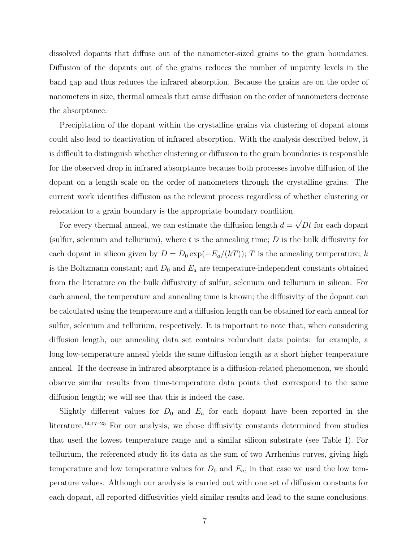dissolved dopants that diffuse out of the nanometer-sized grains to the grain boundaries. Diffusion of the dopants out of the grains reduces the number of impurity levels in the band gap and thus reduces the infrared absorption. Because the grains are on the order of nanometers in size, thermal anneals that cause diffusion on the order of nanometers decrease the absorptance.

Precipitation of the dopant within the crystalline grains via clustering of dopant atoms could also lead to deactivation of infrared absorption. With the analysis described below, it is difficult to distinguish whether clustering or diffusion to the grain boundaries is responsible for the observed drop in infrared absorptance because both processes involve diffusion of the dopant on a length scale on the order of nanometers through the crystalline grains. The current work identifies diffusion as the relevant process regardless of whether clustering or relocation to a grain boundary is the appropriate boundary condition.

For every thermal anneal, we can estimate the diffusion length  $d =$ √ Dt for each dopant (sulfur, selenium and tellurium), where  $t$  is the annealing time;  $D$  is the bulk diffusivity for each dopant in silicon given by  $D = D_0 \exp(-E_a/(kT))$ ; T is the annealing temperature; k is the Boltzmann constant; and  $D_0$  and  $E_a$  are temperature-independent constants obtained from the literature on the bulk diffusivity of sulfur, selenium and tellurium in silicon. For each anneal, the temperature and annealing time is known; the diffusivity of the dopant can be calculated using the temperature and a diffusion length can be obtained for each anneal for sulfur, selenium and tellurium, respectively. It is important to note that, when considering diffusion length, our annealing data set contains redundant data points: for example, a long low-temperature anneal yields the same diffusion length as a short higher temperature anneal. If the decrease in infrared absorptance is a diffusion-related phenomenon, we should observe similar results from time-temperature data points that correspond to the same diffusion length; we will see that this is indeed the case.

Slightly different values for  $D_0$  and  $E_a$  for each dopant have been reported in the literature.<sup>14,17–25</sup> For our analysis, we chose diffusivity constants determined from studies that used the lowest temperature range and a similar silicon substrate (see Table I). For tellurium, the referenced study fit its data as the sum of two Arrhenius curves, giving high temperature and low temperature values for  $D_0$  and  $E_a$ ; in that case we used the low temperature values. Although our analysis is carried out with one set of diffusion constants for each dopant, all reported diffusivities yield similar results and lead to the same conclusions.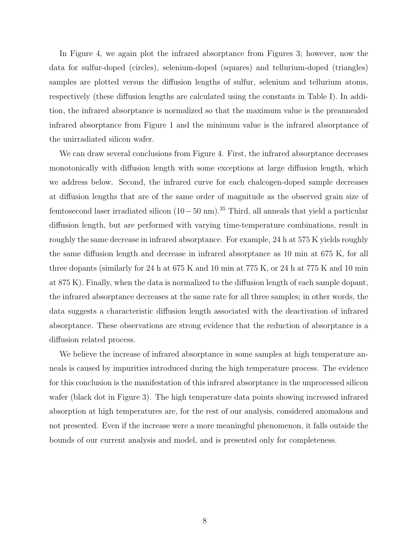In Figure 4, we again plot the infrared absorptance from Figures 3; however, now the data for sulfur-doped (circles), selenium-doped (squares) and tellurium-doped (triangles) samples are plotted versus the diffusion lengths of sulfur, selenium and tellurium atoms, respectively (these diffusion lengths are calculated using the constants in Table I). In addition, the infrared absorptance is normalized so that the maximum value is the preannealed infrared absorptance from Figure 1 and the minimum value is the infrared absorptance of the unirradiated silicon wafer.

We can draw several conclusions from Figure 4. First, the infrared absorptance decreases monotonically with diffusion length with some exceptions at large diffusion length, which we address below. Second, the infrared curve for each chalcogen-doped sample decreases at diffusion lengths that are of the same order of magnitude as the observed grain size of femtosecond laser irradiated silicon (10−50 nm).<sup>35</sup> Third, all anneals that yield a particular diffusion length, but are performed with varying time-temperature combinations, result in roughly the same decrease in infrared absorptance. For example, 24 h at 575 K yields roughly the same diffusion length and decrease in infrared absorptance as 10 min at 675 K, for all three dopants (similarly for 24 h at 675 K and 10 min at 775 K, or 24 h at 775 K and 10 min at 875 K). Finally, when the data is normalized to the diffusion length of each sample dopant, the infrared absorptance decreases at the same rate for all three samples; in other words, the data suggests a characteristic diffusion length associated with the deactivation of infrared absorptance. These observations are strong evidence that the reduction of absorptance is a diffusion related process.

We believe the increase of infrared absorptance in some samples at high temperature anneals is caused by impurities introduced during the high temperature process. The evidence for this conclusion is the manifestation of this infrared absorptance in the unprocessed silicon wafer (black dot in Figure 3). The high temperature data points showing increased infrared absorption at high temperatures are, for the rest of our analysis, considered anomalous and not presented. Even if the increase were a more meaningful phenomenon, it falls outside the bounds of our current analysis and model, and is presented only for completeness.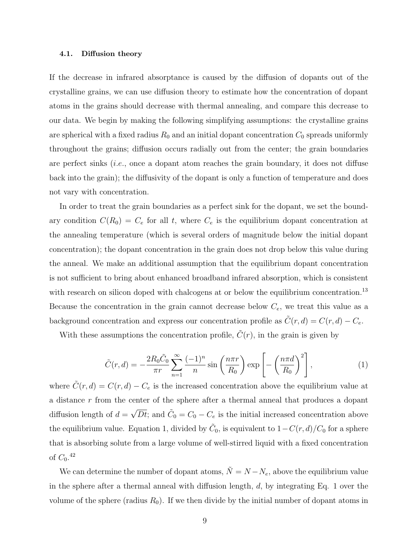#### 4.1. Diffusion theory

If the decrease in infrared absorptance is caused by the diffusion of dopants out of the crystalline grains, we can use diffusion theory to estimate how the concentration of dopant atoms in the grains should decrease with thermal annealing, and compare this decrease to our data. We begin by making the following simplifying assumptions: the crystalline grains are spherical with a fixed radius  $R_0$  and an initial dopant concentration  $C_0$  spreads uniformly throughout the grains; diffusion occurs radially out from the center; the grain boundaries are perfect sinks  $(i.e.,$  once a dopant atom reaches the grain boundary, it does not diffuse back into the grain); the diffusivity of the dopant is only a function of temperature and does not vary with concentration.

In order to treat the grain boundaries as a perfect sink for the dopant, we set the boundary condition  $C(R_0) = C_e$  for all t, where  $C_e$  is the equilibrium dopant concentration at the annealing temperature (which is several orders of magnitude below the initial dopant concentration); the dopant concentration in the grain does not drop below this value during the anneal. We make an additional assumption that the equilibrium dopant concentration is not sufficient to bring about enhanced broadband infrared absorption, which is consistent with research on silicon doped with chalcogens at or below the equilibrium concentration.<sup>13</sup> Because the concentration in the grain cannot decrease below  $C_e$ , we treat this value as a background concentration and express our concentration profile as  $\tilde{C}(r, d) = C(r, d) - C_e$ .

With these assumptions the concentration profile,  $\tilde{C}(r)$ , in the grain is given by

$$
\tilde{C}(r,d) = -\frac{2R_0\tilde{C}_0}{\pi r} \sum_{n=1}^{\infty} \frac{(-1)^n}{n} \sin\left(\frac{n\pi r}{R_0}\right) \exp\left[-\left(\frac{n\pi d}{R_0}\right)^2\right],\tag{1}
$$

where  $\tilde{C}(r, d) = C(r, d) - C_e$  is the increased concentration above the equilibrium value at a distance r from the center of the sphere after a thermal anneal that produces a dopant diffusion length of  $d =$  $\sqrt{Dt}$ ; and  $\tilde{C}_0 = C_0 - C_e$  is the initial increased concentration above the equilibrium value. Equation 1, divided by  $\tilde{C}_0$ , is equivalent to  $1-C(r,d)/C_0$  for a sphere that is absorbing solute from a large volume of well-stirred liquid with a fixed concentration of  $C_0$ .<sup>42</sup>

We can determine the number of dopant atoms,  $\tilde{N} = N - N_e$ , above the equilibrium value in the sphere after a thermal anneal with diffusion length,  $d$ , by integrating Eq. 1 over the volume of the sphere (radius  $R_0$ ). If we then divide by the initial number of dopant atoms in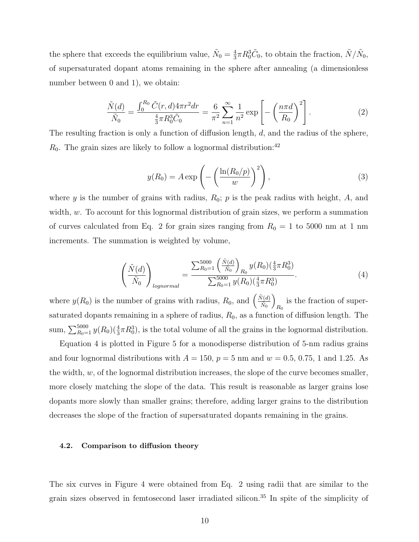the sphere that exceeds the equilibrium value,  $\tilde{N}_0 = \frac{4}{3}$  $\frac{4}{3}\pi R_0^3 \tilde{C}_0$ , to obtain the fraction,  $\tilde{N}/\tilde{N}_0$ , of supersaturated dopant atoms remaining in the sphere after annealing (a dimensionless number between 0 and 1), we obtain:

$$
\frac{\tilde{N}(d)}{\tilde{N}_0} = \frac{\int_0^{R_0} \tilde{C}(r, d) 4\pi r^2 dr}{\frac{4}{3}\pi R_0^3 \tilde{C}_0} = \frac{6}{\pi^2} \sum_{n=1}^{\infty} \frac{1}{n^2} \exp\left[-\left(\frac{n\pi d}{R_0}\right)^2\right].
$$
\n(2)

The resulting fraction is only a function of diffusion length,  $d$ , and the radius of the sphere,  $R_0$ . The grain sizes are likely to follow a lognormal distribution:<sup>42</sup>

$$
y(R_0) = A \exp\left(-\left(\frac{\ln(R_0/p)}{w}\right)^2\right),\tag{3}
$$

where y is the number of grains with radius,  $R_0$ ; p is the peak radius with height, A, and width,  $w$ . To account for this lognormal distribution of grain sizes, we perform a summation of curves calculated from Eq. 2 for grain sizes ranging from  $R_0 = 1$  to 5000 nm at 1 nm increments. The summation is weighted by volume,

$$
\left(\frac{\tilde{N}(d)}{\tilde{N}_0}\right)_{lognormal} = \frac{\sum_{R_0=1}^{5000} \left(\frac{\tilde{N}(d)}{\tilde{N}_0}\right)_{R_0} y(R_0) \left(\frac{4}{3}\pi R_0^3\right)}{\sum_{R_0=1}^{5000} y(R_0) \left(\frac{4}{3}\pi R_0^3\right)}.
$$
\n(4)

where  $y(R_0)$  is the number of grains with radius,  $R_0$ , and  $\left(\frac{\tilde{N}(d)}{\tilde{N}_0}\right)$  $\tilde{N}_0$  $\setminus$  $_{R_0}$ is the fraction of supersaturated dopants remaining in a sphere of radius,  $R_0$ , as a function of diffusion length. The sum,  $\sum_{R_0=1}^{5000} y(R_0)(\frac{4}{3}\pi R_0^3)$ , is the total volume of all the grains in the lognormal distribution.

Equation 4 is plotted in Figure 5 for a monodisperse distribution of 5-nm radius grains and four lognormal distributions with  $A = 150$ ,  $p = 5$  nm and  $w = 0.5, 0.75, 1$  and 1.25. As the width, w, of the lognormal distribution increases, the slope of the curve becomes smaller, more closely matching the slope of the data. This result is reasonable as larger grains lose dopants more slowly than smaller grains; therefore, adding larger grains to the distribution decreases the slope of the fraction of supersaturated dopants remaining in the grains.

#### 4.2. Comparison to diffusion theory

The six curves in Figure 4 were obtained from Eq. 2 using radii that are similar to the grain sizes observed in femtosecond laser irradiated silicon.<sup>35</sup> In spite of the simplicity of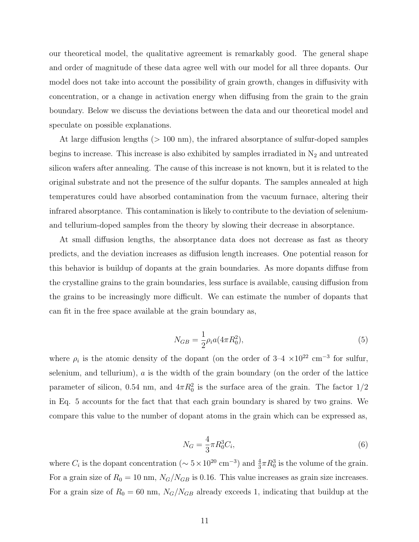our theoretical model, the qualitative agreement is remarkably good. The general shape and order of magnitude of these data agree well with our model for all three dopants. Our model does not take into account the possibility of grain growth, changes in diffusivity with concentration, or a change in activation energy when diffusing from the grain to the grain boundary. Below we discuss the deviations between the data and our theoretical model and speculate on possible explanations.

At large diffusion lengths (> 100 nm), the infrared absorptance of sulfur-doped samples begins to increase. This increase is also exhibited by samples irradiated in  $N_2$  and untreated silicon wafers after annealing. The cause of this increase is not known, but it is related to the original substrate and not the presence of the sulfur dopants. The samples annealed at high temperatures could have absorbed contamination from the vacuum furnace, altering their infrared absorptance. This contamination is likely to contribute to the deviation of seleniumand tellurium-doped samples from the theory by slowing their decrease in absorptance.

At small diffusion lengths, the absorptance data does not decrease as fast as theory predicts, and the deviation increases as diffusion length increases. One potential reason for this behavior is buildup of dopants at the grain boundaries. As more dopants diffuse from the crystalline grains to the grain boundaries, less surface is available, causing diffusion from the grains to be increasingly more difficult. We can estimate the number of dopants that can fit in the free space available at the grain boundary as,

$$
N_{GB} = \frac{1}{2}\rho_i a (4\pi R_0^2),\tag{5}
$$

where  $\rho_i$  is the atomic density of the dopant (on the order of 3–4 ×10<sup>22</sup> cm<sup>-3</sup> for sulfur, selenium, and tellurium),  $\alpha$  is the width of the grain boundary (on the order of the lattice parameter of silicon, 0.54 nm, and  $4\pi R_0^2$  is the surface area of the grain. The factor  $1/2$ in Eq. 5 accounts for the fact that that each grain boundary is shared by two grains. We compare this value to the number of dopant atoms in the grain which can be expressed as,

$$
N_G = \frac{4}{3}\pi R_0^3 C_i,
$$
\n(6)

where  $C_i$  is the dopant concentration ( $\sim 5 \times 10^{20}$  cm<sup>-3</sup>) and  $\frac{4}{3}\pi R_0^3$  is the volume of the grain. For a grain size of  $R_0 = 10$  nm,  $N_G/N_{GB}$  is 0.16. This value increases as grain size increases. For a grain size of  $R_0 = 60$  nm,  $N_G/N_{GB}$  already exceeds 1, indicating that buildup at the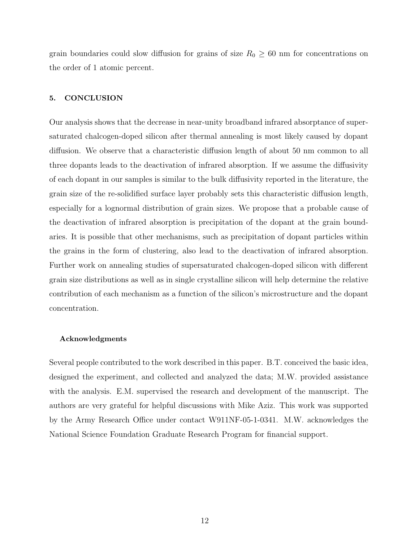grain boundaries could slow diffusion for grains of size  $R_0 \geq 60$  nm for concentrations on the order of 1 atomic percent.

## 5. CONCLUSION

Our analysis shows that the decrease in near-unity broadband infrared absorptance of supersaturated chalcogen-doped silicon after thermal annealing is most likely caused by dopant diffusion. We observe that a characteristic diffusion length of about 50 nm common to all three dopants leads to the deactivation of infrared absorption. If we assume the diffusivity of each dopant in our samples is similar to the bulk diffusivity reported in the literature, the grain size of the re-solidified surface layer probably sets this characteristic diffusion length, especially for a lognormal distribution of grain sizes. We propose that a probable cause of the deactivation of infrared absorption is precipitation of the dopant at the grain boundaries. It is possible that other mechanisms, such as precipitation of dopant particles within the grains in the form of clustering, also lead to the deactivation of infrared absorption. Further work on annealing studies of supersaturated chalcogen-doped silicon with different grain size distributions as well as in single crystalline silicon will help determine the relative contribution of each mechanism as a function of the silicon's microstructure and the dopant concentration.

#### Acknowledgments

Several people contributed to the work described in this paper. B.T. conceived the basic idea, designed the experiment, and collected and analyzed the data; M.W. provided assistance with the analysis. E.M. supervised the research and development of the manuscript. The authors are very grateful for helpful discussions with Mike Aziz. This work was supported by the Army Research Office under contact W911NF-05-1-0341. M.W. acknowledges the National Science Foundation Graduate Research Program for financial support.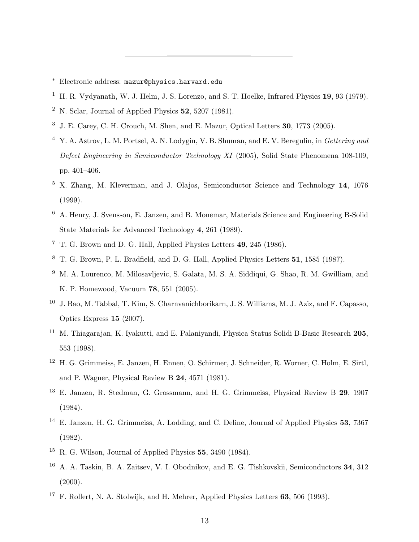- <sup>∗</sup> Electronic address: mazur@physics.harvard.edu
- <sup>1</sup> H. R. Vydyanath, W. J. Helm, J. S. Lorenzo, and S. T. Hoelke, Infrared Physics **19**, 93 (1979).
- <sup>2</sup> N. Sclar, Journal of Applied Physics  $52$ , 5207 (1981).
- $3$  J. E. Carey, C. H. Crouch, M. Shen, and E. Mazur, Optical Letters 30, 1773 (2005).
- <sup>4</sup> Y. A. Astrov, L. M. Portsel, A. N. Lodygin, V. B. Shuman, and E. V. Beregulin, in Gettering and Defect Engineering in Semiconductor Technology XI (2005), Solid State Phenomena 108-109, pp. 401–406.
- <sup>5</sup> X. Zhang, M. Kleverman, and J. Olajos, Semiconductor Science and Technology 14, 1076 (1999).
- <sup>6</sup> A. Henry, J. Svensson, E. Janzen, and B. Monemar, Materials Science and Engineering B-Solid State Materials for Advanced Technology 4, 261 (1989).
- <sup>7</sup> T. G. Brown and D. G. Hall, Applied Physics Letters 49, 245 (1986).
- <sup>8</sup> T. G. Brown, P. L. Bradfield, and D. G. Hall, Applied Physics Letters 51, 1585 (1987).
- <sup>9</sup> M. A. Lourenco, M. Milosavljevic, S. Galata, M. S. A. Siddiqui, G. Shao, R. M. Gwilliam, and K. P. Homewood, Vacuum 78, 551 (2005).
- <sup>10</sup> J. Bao, M. Tabbal, T. Kim, S. Charnvanichborikarn, J. S. Williams, M. J. Aziz, and F. Capasso, Optics Express 15 (2007).
- <sup>11</sup> M. Thiagarajan, K. Iyakutti, and E. Palaniyandi, Physica Status Solidi B-Basic Research 205, 553 (1998).
- <sup>12</sup> H. G. Grimmeiss, E. Janzen, H. Ennen, O. Schirmer, J. Schneider, R. Worner, C. Holm, E. Sirtl, and P. Wagner, Physical Review B 24, 4571 (1981).
- <sup>13</sup> E. Janzen, R. Stedman, G. Grossmann, and H. G. Grimmeiss, Physical Review B 29, 1907 (1984).
- <sup>14</sup> E. Janzen, H. G. Grimmeiss, A. Lodding, and C. Deline, Journal of Applied Physics **53**, 7367 (1982).
- <sup>15</sup> R. G. Wilson, Journal of Applied Physics 55, 3490 (1984).
- <sup>16</sup> A. A. Taskin, B. A. Zaitsev, V. I. Obodnikov, and E. G. Tishkovskii, Semiconductors 34, 312  $(2000).$
- <sup>17</sup> F. Rollert, N. A. Stolwijk, and H. Mehrer, Applied Physics Letters 63, 506 (1993).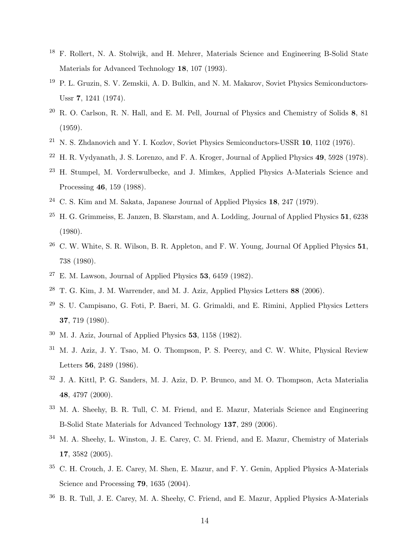- <sup>18</sup> F. Rollert, N. A. Stolwijk, and H. Mehrer, Materials Science and Engineering B-Solid State Materials for Advanced Technology 18, 107 (1993).
- <sup>19</sup> P. L. Gruzin, S. V. Zemskii, A. D. Bulkin, and N. M. Makarov, Soviet Physics Semiconductors-Ussr 7, 1241 (1974).
- <sup>20</sup> R. O. Carlson, R. N. Hall, and E. M. Pell, Journal of Physics and Chemistry of Solids 8, 81 (1959).
- $21$  N. S. Zhdanovich and Y. I. Kozlov, Soviet Physics Semiconductors-USSR 10, 1102 (1976).
- <sup>22</sup> H. R. Vydyanath, J. S. Lorenzo, and F. A. Kroger, Journal of Applied Physics  $49, 5928$  (1978).
- <sup>23</sup> H. Stumpel, M. Vorderwulbecke, and J. Mimkes, Applied Physics A-Materials Science and Processing 46, 159 (1988).
- <sup>24</sup> C. S. Kim and M. Sakata, Japanese Journal of Applied Physics 18, 247 (1979).
- <sup>25</sup> H. G. Grimmeiss, E. Janzen, B. Skarstam, and A. Lodding, Journal of Applied Physics **51**, 6238 (1980).
- <sup>26</sup> C. W. White, S. R. Wilson, B. R. Appleton, and F. W. Young, Journal Of Applied Physics  $51$ , 738 (1980).
- <sup>27</sup> E. M. Lawson, Journal of Applied Physics  $53, 6459$  (1982).
- $28$  T. G. Kim, J. M. Warrender, and M. J. Aziz, Applied Physics Letters 88 (2006).
- <sup>29</sup> S. U. Campisano, G. Foti, P. Baeri, M. G. Grimaldi, and E. Rimini, Applied Physics Letters 37, 719 (1980).
- <sup>30</sup> M. J. Aziz, Journal of Applied Physics 53, 1158 (1982).
- <sup>31</sup> M. J. Aziz, J. Y. Tsao, M. O. Thompson, P. S. Peercy, and C. W. White, Physical Review Letters 56, 2489 (1986).
- <sup>32</sup> J. A. Kittl, P. G. Sanders, M. J. Aziz, D. P. Brunco, and M. O. Thompson, Acta Materialia 48, 4797 (2000).
- <sup>33</sup> M. A. Sheehy, B. R. Tull, C. M. Friend, and E. Mazur, Materials Science and Engineering B-Solid State Materials for Advanced Technology 137, 289 (2006).
- <sup>34</sup> M. A. Sheehy, L. Winston, J. E. Carey, C. M. Friend, and E. Mazur, Chemistry of Materials 17, 3582 (2005).
- <sup>35</sup> C. H. Crouch, J. E. Carey, M. Shen, E. Mazur, and F. Y. Genin, Applied Physics A-Materials Science and Processing 79, 1635 (2004).
- <sup>36</sup> B. R. Tull, J. E. Carey, M. A. Sheehy, C. Friend, and E. Mazur, Applied Physics A-Materials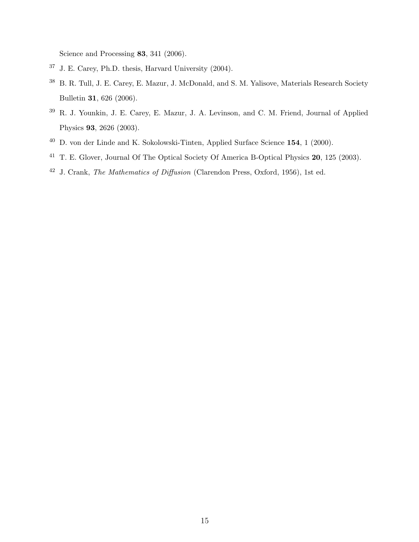Science and Processing 83, 341 (2006).

- <sup>37</sup> J. E. Carey, Ph.D. thesis, Harvard University (2004).
- <sup>38</sup> B. R. Tull, J. E. Carey, E. Mazur, J. McDonald, and S. M. Yalisove, Materials Research Society Bulletin 31, 626 (2006).
- <sup>39</sup> R. J. Younkin, J. E. Carey, E. Mazur, J. A. Levinson, and C. M. Friend, Journal of Applied Physics 93, 2626 (2003).
- <sup>40</sup> D. von der Linde and K. Sokolowski-Tinten, Applied Surface Science 154, 1 (2000).
- <sup>41</sup> T. E. Glover, Journal Of The Optical Society Of America B-Optical Physics **20**, 125 (2003).
- <sup>42</sup> J. Crank, The Mathematics of Diffusion (Clarendon Press, Oxford, 1956), 1st ed.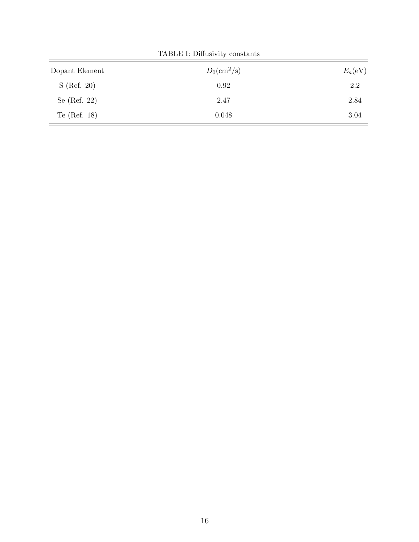| Dopant Element  | $D_0$ (cm <sup>2</sup> /s) | $E_a({\rm eV})$ |
|-----------------|----------------------------|-----------------|
| $S$ (Ref. 20)   | 0.92                       | 2.2             |
| Se (Ref. 22)    | 2.47                       | 2.84            |
| Te (Ref. $18$ ) | 0.048                      | 3.04            |

TABLE I: Diffusivity constants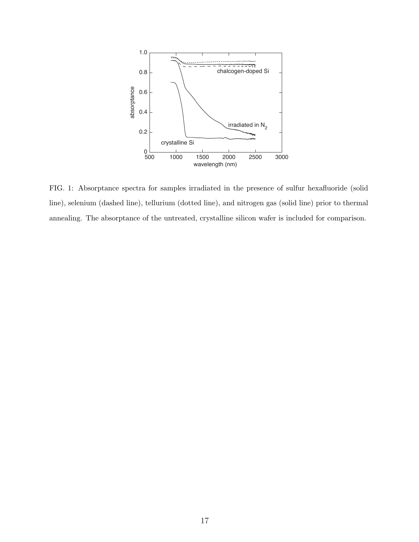

FIG. 1: Absorptance spectra for samples irradiated in the presence of sulfur hexafluoride (solid line), selenium (dashed line), tellurium (dotted line), and nitrogen gas (solid line) prior to thermal annealing. The absorptance of the untreated, crystalline silicon wafer is included for comparison.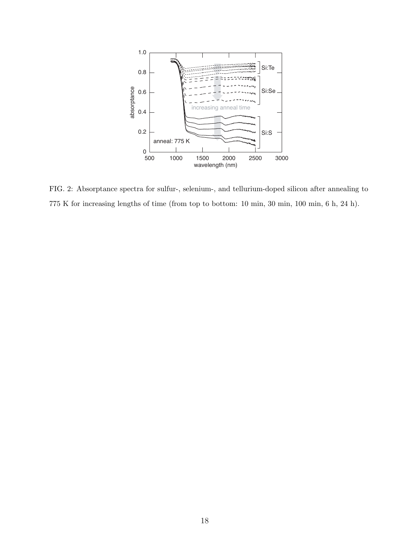

FIG. 2: Absorptance spectra for sulfur-, selenium-, and tellurium-doped silicon after annealing to 775 K for increasing lengths of time (from top to bottom: 10 min, 30 min, 100 min, 6 h, 24 h).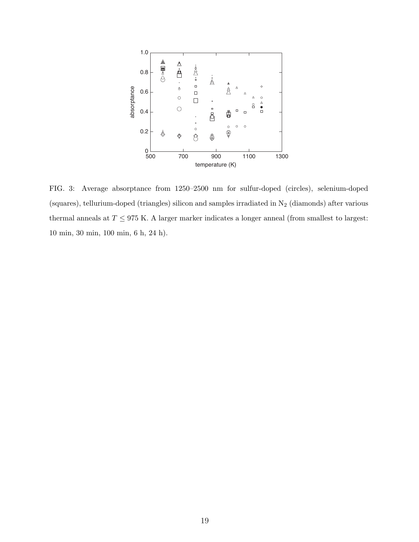

FIG. 3: Average absorptance from 1250–2500 nm for sulfur-doped (circles), selenium-doped (squares), tellurium-doped (triangles) silicon and samples irradiated in  $N_2$  (diamonds) after various thermal anneals at  $T \leq 975$  K. A larger marker indicates a longer anneal (from smallest to largest: 10 min, 30 min, 100 min, 6 h, 24 h).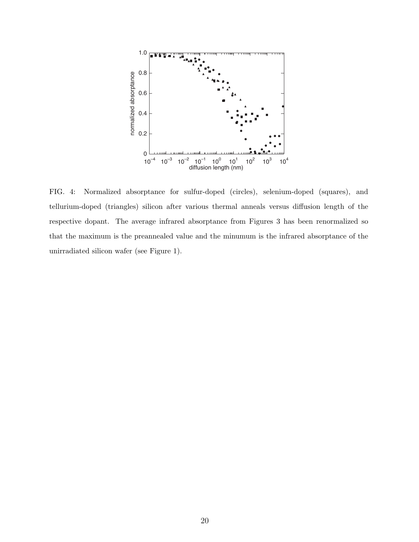

FIG. 4: Normalized absorptance for sulfur-doped (circles), selenium-doped (squares), and tellurium-doped (triangles) silicon after various thermal anneals versus diffusion length of the respective dopant. The average infrared absorptance from Figures 3 has been renormalized so that the maximum is the preannealed value and the minumum is the infrared absorptance of the unirradiated silicon wafer (see Figure 1).